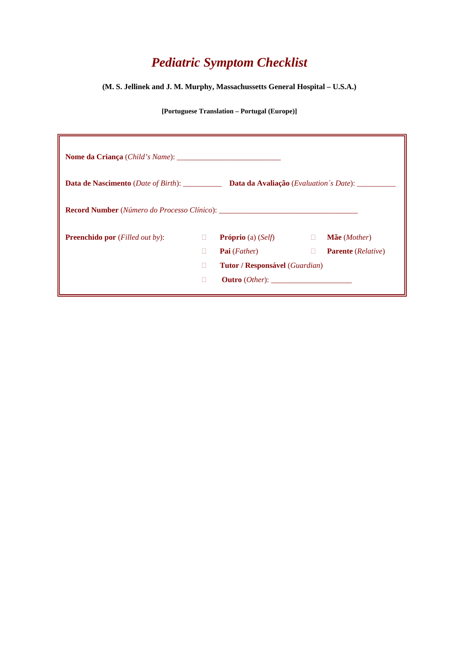## *Pediatric Symptom Checklist*

**(M. S. Jellinek and J. M. Murphy, Massachussetts General Hospital – U.S.A.)** 

**[Portuguese Translation – Portugal (Europe)]** 

| <b>Data de Nascimento</b> ( <i>Date of Birth</i> ): __________ |   | Data da Avaliação (Evaluation's Date): ______  |        |                                    |  |
|----------------------------------------------------------------|---|------------------------------------------------|--------|------------------------------------|--|
|                                                                |   |                                                |        |                                    |  |
| <b>Preenchido por</b> ( <i>Filled out by</i> ):                | П | <b>Próprio</b> (a) $\left(Self\right)$         |        | Mãe (Mother)                       |  |
|                                                                | п | <b>Pai</b> ( <i>Father</i> )                   | $\Box$ | <b>Parente</b> ( <i>Relative</i> ) |  |
|                                                                | П | <b>Tutor / Responsável</b> ( <i>Guardian</i> ) |        |                                    |  |
|                                                                | П | $\textbf{Outro}(Other):$                       |        |                                    |  |
|                                                                |   |                                                |        |                                    |  |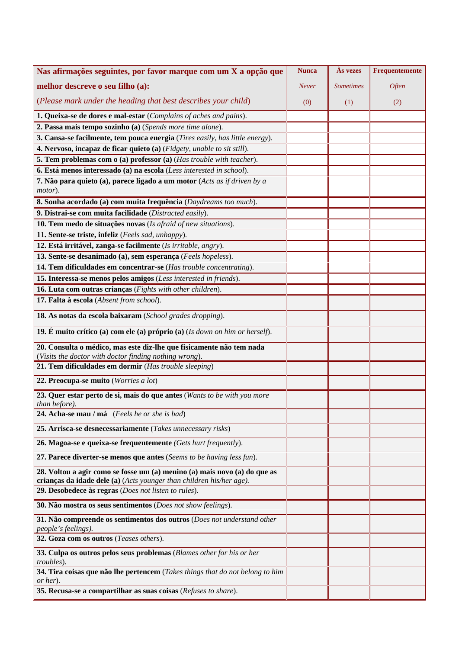| Nas afirmações seguintes, por favor marque com um X a opção que                                                                                   | <b>Nunca</b> | <b>As vezes</b>  | Frequentemente |
|---------------------------------------------------------------------------------------------------------------------------------------------------|--------------|------------------|----------------|
| melhor descreve o seu filho (a):                                                                                                                  | <b>Never</b> | <b>Sometimes</b> | Often          |
| (Please mark under the heading that best describes your child)                                                                                    | (0)          | (1)              | (2)            |
| 1. Queixa-se de dores e mal-estar (Complains of aches and pains).                                                                                 |              |                  |                |
| 2. Passa mais tempo sozinho (a) (Spends more time alone).                                                                                         |              |                  |                |
| 3. Cansa-se facilmente, tem pouca energia (Tires easily, has little energy).                                                                      |              |                  |                |
| 4. Nervoso, incapaz de ficar quieto (a) (Fidgety, unable to sit still).                                                                           |              |                  |                |
| <b>5. Tem problemas com o (a) professor (a) (Has trouble with teacher).</b>                                                                       |              |                  |                |
| 6. Está menos interessado (a) na escola (Less interested in school).                                                                              |              |                  |                |
| 7. Não para quieto (a), parece ligado a um motor (Acts as if driven by a<br>motor).                                                               |              |                  |                |
| 8. Sonha acordado (a) com muita frequência (Daydreams too much).                                                                                  |              |                  |                |
| 9. Distrai-se com muita facilidade (Distracted easily).                                                                                           |              |                  |                |
| 10. Tem medo de situações novas (Is afraid of new situations).                                                                                    |              |                  |                |
| 11. Sente-se triste, infeliz (Feels sad, unhappy).                                                                                                |              |                  |                |
| 12. Está irritável, zanga-se facilmente (Is irritable, angry).                                                                                    |              |                  |                |
| 13. Sente-se desanimado (a), sem esperança (Feels hopeless).                                                                                      |              |                  |                |
| 14. Tem dificuldades em concentrar-se (Has trouble concentrating).                                                                                |              |                  |                |
| 15. Interessa-se menos pelos amigos (Less interested in friends).                                                                                 |              |                  |                |
| 16. Luta com outras crianças (Fights with other children).                                                                                        |              |                  |                |
| 17. Falta à escola (Absent from school).                                                                                                          |              |                  |                |
| 18. As notas da escola baixaram (School grades dropping).                                                                                         |              |                  |                |
| 19. É muito crítico (a) com ele (a) próprio (a) (Is down on him or herself).                                                                      |              |                  |                |
| 20. Consulta o médico, mas este diz-lhe que fisicamente não tem nada<br>(Visits the doctor with doctor finding nothing wrong).                    |              |                  |                |
| 21. Tem dificuldades em dormir (Has trouble sleeping)                                                                                             |              |                  |                |
| 22. Preocupa-se muito (Worries a lot)                                                                                                             |              |                  |                |
| 23. Quer estar perto de si, mais do que antes (Wants to be with you more<br>than before).                                                         |              |                  |                |
| 24. Acha-se mau / má (Feels he or she is bad)                                                                                                     |              |                  |                |
| 25. Arrisca-se desnecessariamente (Takes unnecessary risks)                                                                                       |              |                  |                |
| 26. Magoa-se e queixa-se frequentemente (Gets hurt frequently).                                                                                   |              |                  |                |
| 27. Parece diverter-se menos que antes (Seems to be having less fun).                                                                             |              |                  |                |
| 28. Voltou a agir como se fosse um (a) menino (a) mais novo (a) do que as<br>crianças da idade dele (a) (Acts younger than children his/her age). |              |                  |                |
| 29. Desobedece às regras (Does not listen to rules).                                                                                              |              |                  |                |
| 30. Não mostra os seus sentimentos (Does not show feelings).                                                                                      |              |                  |                |
| 31. Não compreende os sentimentos dos outros (Does not understand other<br>people's feelings).                                                    |              |                  |                |
| 32. Goza com os outros (Teases others).                                                                                                           |              |                  |                |
| 33. Culpa os outros pelos seus problemas (Blames other for his or her<br><i>troubles</i> ).                                                       |              |                  |                |
| 34. Tira coisas que não lhe pertencem (Takes things that do not belong to him<br>or her).                                                         |              |                  |                |
| 35. Recusa-se a compartilhar as suas coisas (Refuses to share).                                                                                   |              |                  |                |